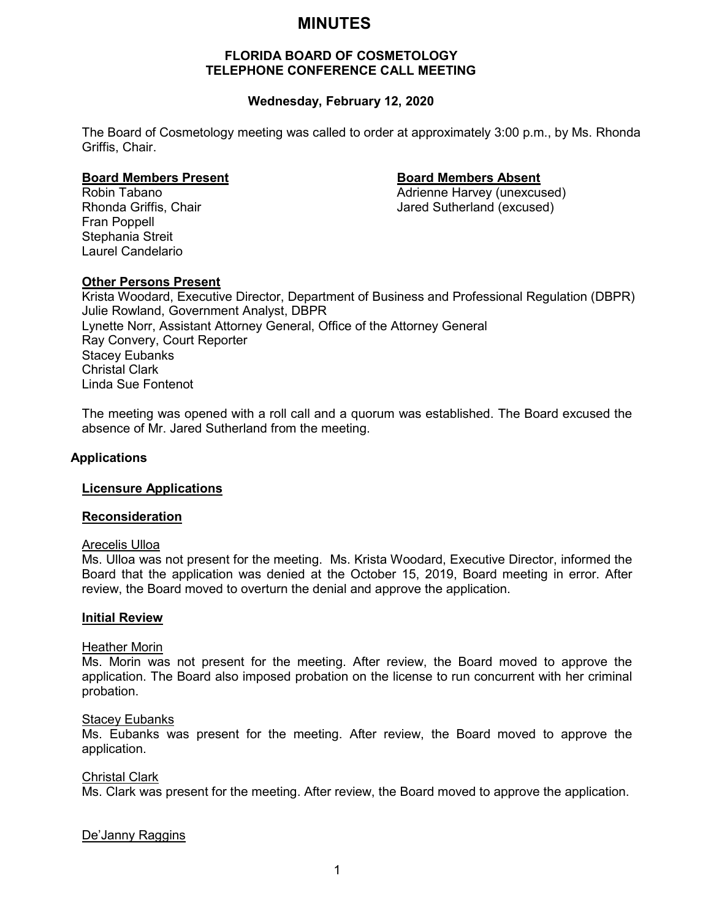# **MINUTES**

# **FLORIDA BOARD OF COSMETOLOGY TELEPHONE CONFERENCE CALL MEETING**

# **Wednesday, February 12, 2020**

The Board of Cosmetology meeting was called to order at approximately 3:00 p.m., by Ms. Rhonda Griffis, Chair.

# **Board Members Present Board Members Absent**

Robin Tabano **Adrienne Harvey (unexcused)** Adrienne Harvey (unexcused) Rhonda Griffis, Chair **Jared Sutherland (excused)** Jared Sutherland (excused)

Fran Poppell Stephania Streit Laurel Candelario

# **Other Persons Present**

Krista Woodard, Executive Director, Department of Business and Professional Regulation (DBPR) Julie Rowland, Government Analyst, DBPR Lynette Norr, Assistant Attorney General, Office of the Attorney General Ray Convery, Court Reporter Stacey Eubanks Christal Clark Linda Sue Fontenot

The meeting was opened with a roll call and a quorum was established. The Board excused the absence of Mr. Jared Sutherland from the meeting.

# **Applications**

# **Licensure Applications**

# **Reconsideration**

### Arecelis Ulloa

Ms. Ulloa was not present for the meeting. Ms. Krista Woodard, Executive Director, informed the Board that the application was denied at the October 15, 2019, Board meeting in error. After review, the Board moved to overturn the denial and approve the application.

#### **Initial Review**

#### Heather Morin

Ms. Morin was not present for the meeting. After review, the Board moved to approve the application. The Board also imposed probation on the license to run concurrent with her criminal probation.

#### Stacey Eubanks

Ms. Eubanks was present for the meeting. After review, the Board moved to approve the application.

#### Christal Clark

Ms. Clark was present for the meeting. After review, the Board moved to approve the application.

# De'Janny Raggins